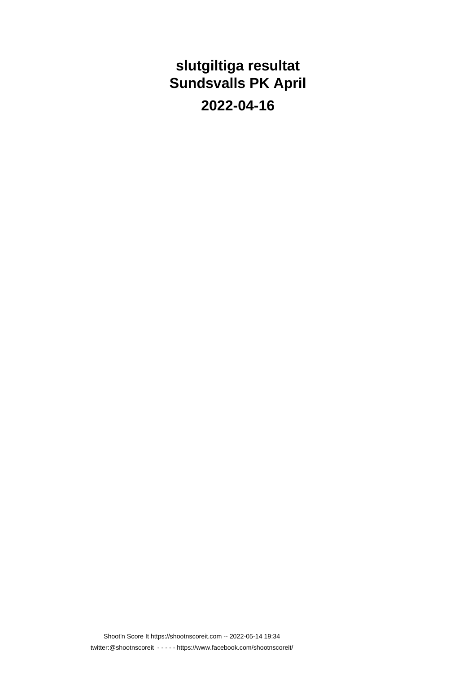### **slutgiltiga resultat Sundsvalls PK April**

**2022-04-16**

Shoot'n Score It https://shootnscoreit.com -- 2022-05-14 19:34 twitter:@shootnscoreit - - - - - https://www.facebook.com/shootnscoreit/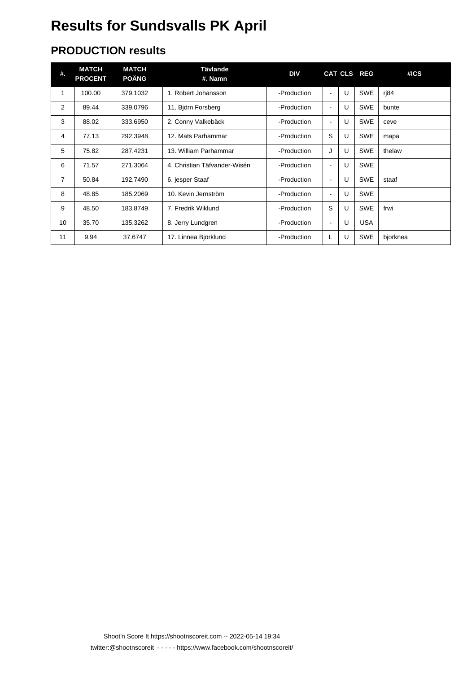# **Results for Sundsvalls PK April**

### **PRODUCTION results**

| #. | <b>MATCH</b><br><b>PROCENT</b> | <b>MATCH</b><br><b>POÄNG</b> | Tävlande<br>#. Namn          | <b>DIV</b>  |                          |   | CAT CLS REG | #ICS     |
|----|--------------------------------|------------------------------|------------------------------|-------------|--------------------------|---|-------------|----------|
| 1  | 100.00                         | 379.1032                     | 1. Robert Johansson          | -Production | $\overline{\phantom{a}}$ | U | <b>SWE</b>  | rj84     |
| 2  | 89.44                          | 339.0796                     | 11. Björn Forsberg           | -Production | ٠                        | U | <b>SWE</b>  | bunte    |
| 3  | 88.02                          | 333.6950                     | 2. Conny Valkebäck           | -Production | $\blacksquare$           | U | <b>SWE</b>  | ceve     |
| 4  | 77.13                          | 292.3948                     | 12. Mats Parhammar           | -Production | S                        | U | <b>SWE</b>  | mapa     |
| 5  | 75.82                          | 287.4231                     | 13. William Parhammar        | -Production | J                        | U | <b>SWE</b>  | thelaw   |
| 6  | 71.57                          | 271.3064                     | 4. Christian Täfvander-Wisén | -Production | $\blacksquare$           | U | <b>SWE</b>  |          |
| 7  | 50.84                          | 192.7490                     | 6. jesper Staaf              | -Production | $\blacksquare$           | U | <b>SWE</b>  | staaf    |
| 8  | 48.85                          | 185,2069                     | 10. Kevin Jernström          | -Production | ٠                        | U | <b>SWE</b>  |          |
| 9  | 48.50                          | 183.8749                     | 7. Fredrik Wiklund           | -Production | S                        | U | <b>SWE</b>  | frwi     |
| 10 | 35.70                          | 135.3262                     | 8. Jerry Lundgren            | -Production | ۰                        | U | <b>USA</b>  |          |
| 11 | 9.94                           | 37.6747                      | 17. Linnea Björklund         | -Production | L                        | U | <b>SWE</b>  | bjorknea |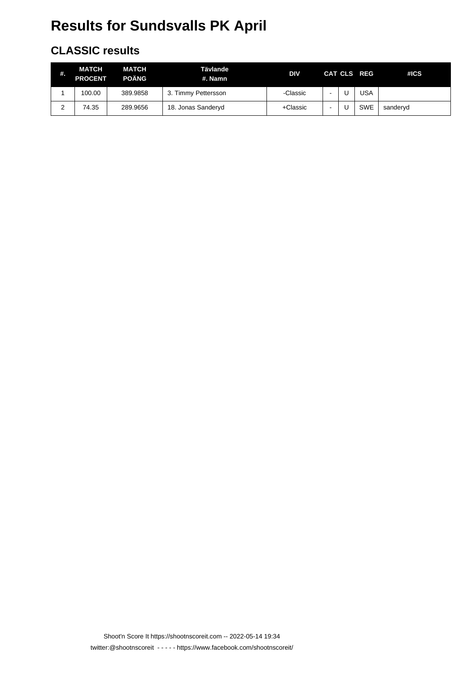# **Results for Sundsvalls PK April**

### **CLASSIC results**

| #.     | MATCH<br><b>PROCENT</b> | <b>MATCH</b><br><b>POÄNG</b> | Tävlande<br>#. Namn | DIV      |   | CAT CLS REG | #ICS     |
|--------|-------------------------|------------------------------|---------------------|----------|---|-------------|----------|
|        | 100.00                  | 389.9858                     | 3. Timmy Pettersson | -Classic |   | USA         |          |
| ົ<br>ے | 74.35                   | 289.9656                     | 18. Jonas Sanderyd  | +Classic | - | <b>SWE</b>  | sanderyd |